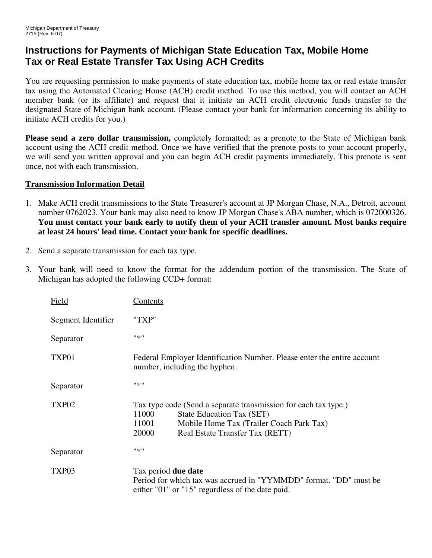## **Instructions for Payments of Michigan State Education Tax, Mobile Home Tax or Real Estate Transfer Tax Using ACH Credits**

You are requesting permission to make payments of state education tax, mobile home tax or real estate transfer tax using the Automated Clearing House (ACH) credit method. To use this method, you will contact an ACH member bank (or its affiliate) and request that it initiate an ACH credit electronic funds transfer to the designated State of Michigan bank account. (Please contact your bank for information concerning its ability to initiate ACH credits for you.)

**Please send a zero dollar transmission,** completely formatted, as a prenote to the State of Michigan bank account using the ACH credit method. Once we have verified that the prenote posts to your account properly, we will send you written approval and you can begin ACH credit payments immediately. This prenote is sent once, not with each transmission.

## **Transmission Information Detail**

- 1. Make ACH credit transmissions to the State Treasurer's account at JP Morgan Chase, N.A., Detroit, account number 0762023. Your bank may also need to know JP Morgan Chase's ABA number, which is 072000326. **You must contact your bank early to notify them of your ACH transfer amount. Most banks require at least 24 hours' lead time. Contact your bank for specific deadlines.**
- 2. Send a separate transmission for each tax type.
- 3. Your bank will need to know the format for the addendum portion of the transmission. The State of Michigan has adopted the following CCD+ format:

| Field              | <u>Contents</u>                                                                                                                                                                                        |
|--------------------|--------------------------------------------------------------------------------------------------------------------------------------------------------------------------------------------------------|
| Segment Identifier | "TXP"                                                                                                                                                                                                  |
| Separator          | $11 \times 11$                                                                                                                                                                                         |
| TXP01              | Federal Employer Identification Number. Please enter the entire account<br>number, including the hyphen.                                                                                               |
| Separator          | #来!!                                                                                                                                                                                                   |
| TXP02              | Tax type code (Send a separate transmission for each tax type.)<br>11000<br>State Education Tax (SET)<br>11001<br>Mobile Home Tax (Trailer Coach Park Tax)<br>20000<br>Real Estate Transfer Tax (RETT) |
| Separator          | #来!!                                                                                                                                                                                                   |
| TXP03              | Tax period <b>due date</b><br>Period for which tax was accrued in "YYMMDD" format. "DD" must be<br>either "01" or "15" regardless of the date paid.                                                    |